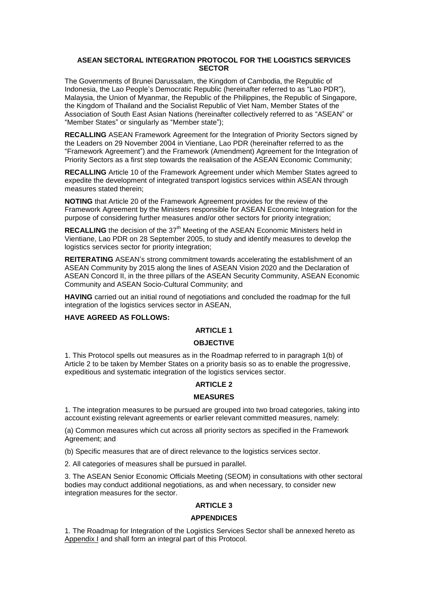### **ASEAN SECTORAL INTEGRATION PROTOCOL FOR THE LOGISTICS SERVICES SECTOR**

The Governments of Brunei Darussalam, the Kingdom of Cambodia, the Republic of Indonesia, the Lao People's Democratic Republic (hereinafter referred to as "Lao PDR"), Malaysia, the Union of Myanmar, the Republic of the Philippines, the Republic of Singapore, the Kingdom of Thailand and the Socialist Republic of Viet Nam, Member States of the Association of South East Asian Nations (hereinafter collectively referred to as "ASEAN" or "Member States" or singularly as "Member state");

**RECALLING** ASEAN Framework Agreement for the Integration of Priority Sectors signed by the Leaders on 29 November 2004 in Vientiane, Lao PDR (hereinafter referred to as the "Framework Agreement") and the Framework (Amendment) Agreement for the Integration of Priority Sectors as a first step towards the realisation of the ASEAN Economic Community;

**RECALLING** Article 10 of the Framework Agreement under which Member States agreed to expedite the development of integrated transport logistics services within ASEAN through measures stated therein;

**NOTING** that Article 20 of the Framework Agreement provides for the review of the Framework Agreement by the Ministers responsible for ASEAN Economic Integration for the purpose of considering further measures and/or other sectors for priority integration;

**RECALLING** the decision of the 37<sup>th</sup> Meeting of the ASEAN Economic Ministers held in Vientiane, Lao PDR on 28 September 2005, to study and identify measures to develop the logistics services sector for priority integration;

**REITERATING** ASEAN's strong commitment towards accelerating the establishment of an ASEAN Community by 2015 along the lines of ASEAN Vision 2020 and the Declaration of ASEAN Concord II, in the three pillars of the ASEAN Security Community, ASEAN Economic Community and ASEAN Socio-Cultural Community; and

**HAVING** carried out an initial round of negotiations and concluded the roadmap for the full integration of the logistics services sector in ASEAN,

#### **HAVE AGREED AS FOLLOWS:**

## **ARTICLE 1**

### **OBJECTIVE**

1. This Protocol spells out measures as in the Roadmap referred to in paragraph 1(b) of Article 2 to be taken by Member States on a priority basis so as to enable the progressive, expeditious and systematic integration of the logistics services sector.

## **ARTICLE 2**

## **MEASURES**

1. The integration measures to be pursued are grouped into two broad categories, taking into account existing relevant agreements or earlier relevant committed measures, namely:

(a) Common measures which cut across all priority sectors as specified in the Framework Agreement; and

(b) Specific measures that are of direct relevance to the logistics services sector.

2. All categories of measures shall be pursued in parallel.

3. The ASEAN Senior Economic Officials Meeting (SEOM) in consultations with other sectoral bodies may conduct additional negotiations, as and when necessary, to consider new integration measures for the sector.

# **ARTICLE 3**

### **APPENDICES**

1. The Roadmap for Integration of the Logistics Services Sector shall be annexed hereto as Appendix I and shall form an integral part of this Protocol.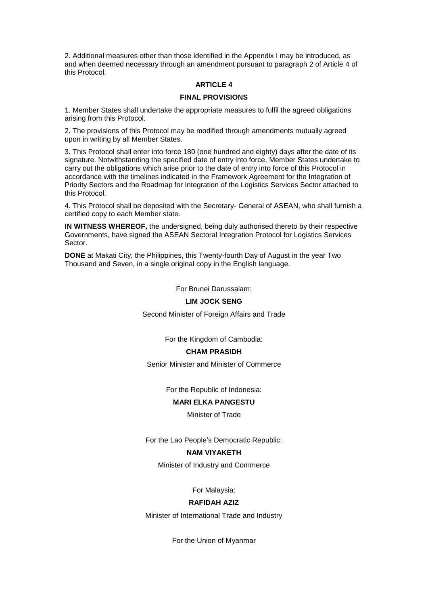2. Additional measures other than those identified in the Appendix I may be introduced, as and when deemed necessary through an amendment pursuant to paragraph 2 of Article 4 of this Protocol.

#### **ARTICLE 4**

#### **FINAL PROVISIONS**

1. Member States shall undertake the appropriate measures to fulfil the agreed obligations arising from this Protocol.

2. The provisions of this Protocol may be modified through amendments mutually agreed upon in writing by all Member States.

3. This Protocol shall enter into force 180 (one hundred and eighty) days after the date of its signature. Notwithstanding the specified date of entry into force, Member States undertake to carry out the obligations which arise prior to the date of entry into force of this Protocol in accordance with the timelines indicated in the Framework Agreement for the Integration of Priority Sectors and the Roadmap for Integration of the Logistics Services Sector attached to this Protocol.

4. This Protocol shall be deposited with the Secretary- General of ASEAN, who shall furnish a certified copy to each Member state.

**IN WITNESS WHEREOF,** the undersigned, being duly authorised thereto by their respective Governments, have signed the ASEAN Sectoral Integration Protocol for Logistics Services Sector.

**DONE** at Makati City, the Philippines, this Twenty-fourth Day of August in the year Two Thousand and Seven, in a single original copy in the English language.

For Brunei Darussalam:

#### **LIM JOCK SENG**

Second Minister of Foreign Affairs and Trade

For the Kingdom of Cambodia:

### **CHAM PRASIDH**

Senior Minister and Minister of Commerce

For the Republic of Indonesia:

# **MARI ELKA PANGESTU**

Minister of Trade

For the Lao People's Democratic Republic:

### **NAM VIYAKETH**

Minister of Industry and Commerce

For Malaysia:

### **RAFIDAH AZIZ**

Minister of International Trade and Industry

For the Union of Myanmar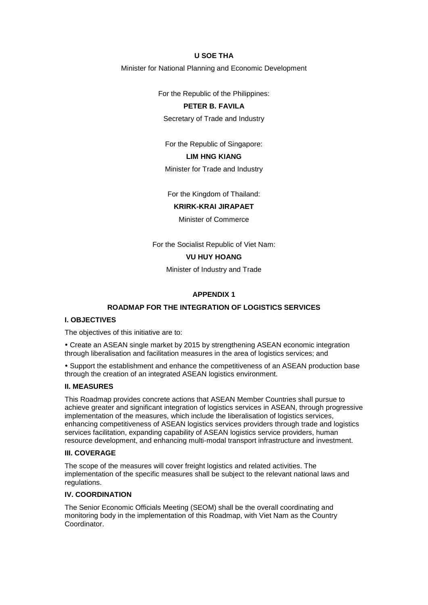# **U SOE THA**

Minister for National Planning and Economic Development

For the Republic of the Philippines:

### **PETER B. FAVILA**

Secretary of Trade and Industry

For the Republic of Singapore:

# **LIM HNG KIANG**

Minister for Trade and Industry

For the Kingdom of Thailand:

#### **KRIRK-KRAI JIRAPAET**

Minister of Commerce

For the Socialist Republic of Viet Nam:

# **VU HUY HOANG**

Minister of Industry and Trade

#### **APPENDIX 1**

#### **ROADMAP FOR THE INTEGRATION OF LOGISTICS SERVICES**

### **I. OBJECTIVES**

The objectives of this initiative are to:

 Create an ASEAN single market by 2015 by strengthening ASEAN economic integration through liberalisation and facilitation measures in the area of logistics services; and

 Support the establishment and enhance the competitiveness of an ASEAN production base through the creation of an integrated ASEAN logistics environment.

#### **II. MEASURES**

This Roadmap provides concrete actions that ASEAN Member Countries shall pursue to achieve greater and significant integration of logistics services in ASEAN, through progressive implementation of the measures, which include the liberalisation of logistics services, enhancing competitiveness of ASEAN logistics services providers through trade and logistics services facilitation, expanding capability of ASEAN logistics service providers, human resource development, and enhancing multi-modal transport infrastructure and investment.

# **III. COVERAGE**

The scope of the measures will cover freight logistics and related activities. The implementation of the specific measures shall be subject to the relevant national laws and regulations.

# **IV. COORDINATION**

The Senior Economic Officials Meeting (SEOM) shall be the overall coordinating and monitoring body in the implementation of this Roadmap, with Viet Nam as the Country Coordinator.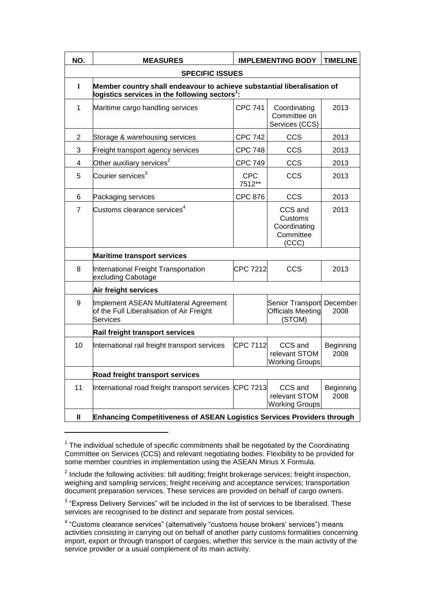| NO.                     | <b>MEASURES</b>                                                                                                                        |                      | <b>IMPLEMENTING BODY</b>                                        | <b>TIMELINE</b>   |  |  |
|-------------------------|----------------------------------------------------------------------------------------------------------------------------------------|----------------------|-----------------------------------------------------------------|-------------------|--|--|
| <b>SPECIFIC ISSUES</b>  |                                                                                                                                        |                      |                                                                 |                   |  |  |
| L                       | Member country shall endeavour to achieve substantial liberalisation of<br>logistics services in the following sectors $^{\text{1}}$ : |                      |                                                                 |                   |  |  |
| 1                       | Maritime cargo handling services                                                                                                       | <b>CPC 741</b>       | Coordinating<br>Committee on<br>Services (CCS)                  | 2013              |  |  |
| $\overline{c}$          | Storage & warehousing services                                                                                                         | <b>CPC 742</b>       | CCS                                                             | 2013              |  |  |
| 3                       | Freight transport agency services                                                                                                      | <b>CPC 748</b>       | <b>CCS</b>                                                      | 2013              |  |  |
| $\overline{\mathbf{4}}$ | Other auxiliary services $2$                                                                                                           | <b>CPC 749</b>       | <b>CCS</b>                                                      | 2013              |  |  |
| 5                       | Courier services <sup>3</sup>                                                                                                          | <b>CPC</b><br>7512** | <b>CCS</b>                                                      | 2013              |  |  |
| 6                       | Packaging services                                                                                                                     | <b>CPC 876</b>       | <b>CCS</b>                                                      | 2013              |  |  |
| $\overline{7}$          | Customs clearance services $4$                                                                                                         |                      | CCS and<br>Customs<br>Coordinating<br>Committee<br>(CCC)        | 2013              |  |  |
|                         | <b>Maritime transport services</b>                                                                                                     |                      |                                                                 |                   |  |  |
| 8                       | International Freight Transportation<br>excluding Cabotage                                                                             | CPC 7212             | <b>CCS</b>                                                      | 2013              |  |  |
|                         | Air freight services                                                                                                                   |                      |                                                                 |                   |  |  |
| 9                       | Implement ASEAN Multilateral Agreement<br>of the Full Liberalisation of Air Freight<br><b>Services</b>                                 |                      | Senior Transport December<br><b>Officials Meeting</b><br>(STOM) | 2008              |  |  |
|                         | Rail freight transport services                                                                                                        |                      |                                                                 |                   |  |  |
| 10                      | International rail freight transport services                                                                                          | CPC 7112             | CCS and<br>relevant STOM<br><b>Working Groups</b>               | Beginning<br>2008 |  |  |
|                         | Road freight transport services                                                                                                        |                      |                                                                 |                   |  |  |
| 11                      | International road freight transport services                                                                                          | <b>CPC 7213</b>      | CCS and<br>relevant STOM<br><b>Working Groups</b>               | Beginning<br>2008 |  |  |
| $\mathbf{I}$            | Enhancing Competitiveness of ASEAN Logistics Services Providers through                                                                |                      |                                                                 |                   |  |  |

 $1$  The individual schedule of specific commitments shall be negotiated by the Coordinating Committee on Services (CCS) and relevant negotiating bodies. Flexibility to be provided for some member countries in implementation using the ASEAN Minus X Formula.

-

 $2$  Include the following activities: bill auditing; freight brokerage services; freight inspection, weighing and sampling services; freight receiving and acceptance services; transportation document preparation services. These services are provided on behalf of cargo owners.

 $3$  "Express Delivery Services" will be included in the list of services to be liberalised. These services are recognised to be distinct and separate from postal services.

<sup>&</sup>lt;sup>4</sup> "Customs clearance services" (alternatively "customs house brokers' services") means activities consisting in carrying out on behalf of another party customs formalities concerning import, export or through transport of cargoes, whether this service is the main activity of the service provider or a usual complement of its main activity.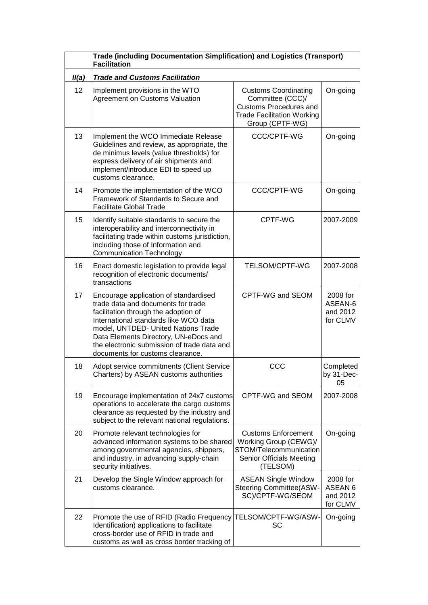|       | Trade (including Documentation Simplification) and Logistics (Transport)<br><b>Facilitation</b>                                                                                                                                                                                                                                 |                                                                                                                                          |                                             |  |  |
|-------|---------------------------------------------------------------------------------------------------------------------------------------------------------------------------------------------------------------------------------------------------------------------------------------------------------------------------------|------------------------------------------------------------------------------------------------------------------------------------------|---------------------------------------------|--|--|
| II(a) | <b>Trade and Customs Facilitation</b>                                                                                                                                                                                                                                                                                           |                                                                                                                                          |                                             |  |  |
| 12    | Implement provisions in the WTO<br>Agreement on Customs Valuation                                                                                                                                                                                                                                                               | <b>Customs Coordinating</b><br>Committee (CCC)/<br><b>Customs Procedures and</b><br><b>Trade Facilitation Working</b><br>Group (CPTF-WG) | On-going                                    |  |  |
| 13    | Implement the WCO Immediate Release<br>Guidelines and review, as appropriate, the<br>de minimus levels (value thresholds) for<br>express delivery of air shipments and<br>implement/introduce EDI to speed up<br>customs clearance.                                                                                             | CCC/CPTF-WG                                                                                                                              | On-going                                    |  |  |
| 14    | Promote the implementation of the WCO<br>Framework of Standards to Secure and<br>Facilitate Global Trade                                                                                                                                                                                                                        | <b>CCC/CPTF-WG</b>                                                                                                                       | On-going                                    |  |  |
| 15    | Identify suitable standards to secure the<br>interoperability and interconnectivity in<br>facilitating trade within customs jurisdiction,<br>including those of Information and<br><b>Communication Technology</b>                                                                                                              | CPTF-WG                                                                                                                                  | 2007-2009                                   |  |  |
| 16    | Enact domestic legislation to provide legal<br>recognition of electronic documents/<br>transactions                                                                                                                                                                                                                             | TELSOM/CPTF-WG                                                                                                                           | 2007-2008                                   |  |  |
| 17    | Encourage application of standardised<br>trade data and documents for trade<br>facilitation through the adoption of<br>International standards like WCO data<br>model, UNTDED- United Nations Trade<br>Data Elements Directory, UN-eDocs and<br>the electronic submission of trade data and<br>documents for customs clearance. | CPTF-WG and SEOM                                                                                                                         | 2008 for<br>ASEAN-6<br>and 2012<br>for CLMV |  |  |
| 18    | Adopt service commitments (Client Service<br>Charters) by ASEAN customs authorities                                                                                                                                                                                                                                             | CCC                                                                                                                                      | Completed<br>by 31-Dec-<br>05               |  |  |
| 19    | Encourage implementation of 24x7 customs<br>operations to accelerate the cargo customs<br>clearance as requested by the industry and<br>subject to the relevant national regulations.                                                                                                                                           | CPTF-WG and SEOM                                                                                                                         | 2007-2008                                   |  |  |
| 20    | Promote relevant technologies for<br>advanced information systems to be shared<br>among governmental agencies, shippers,<br>and industry, in advancing supply-chain<br>security initiatives.                                                                                                                                    | <b>Customs Enforcement</b><br>Working Group (CEWG)/<br>STOM/Telecommunication<br>Senior Officials Meeting<br>(TELSOM)                    | On-going                                    |  |  |
| 21    | Develop the Single Window approach for<br>customs clearance.                                                                                                                                                                                                                                                                    | <b>ASEAN Single Window</b><br><b>Steering Committee(ASW-</b><br>SC)/CPTF-WG/SEOM                                                         | 2008 for<br>ASEAN 6<br>and 2012<br>for CLMV |  |  |
| 22    | Promote the use of RFID (Radio Frequency TELSOM/CPTF-WG/ASW-<br>Identification) applications to facilitate<br>cross-border use of RFID in trade and<br>customs as well as cross border tracking of                                                                                                                              | SC                                                                                                                                       | On-going                                    |  |  |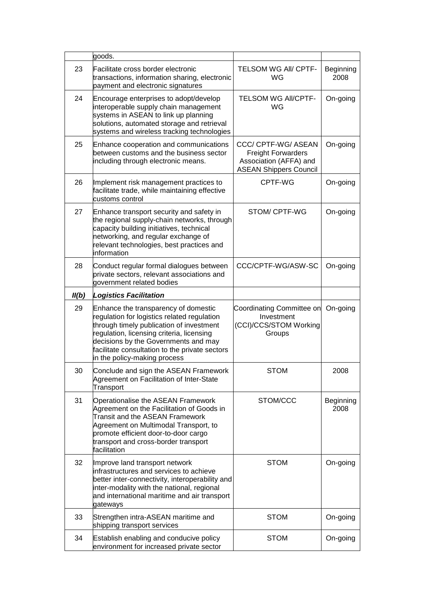|       | goods.                                                                                                                                                                                                                                                                                                 |                                                                                                             |                   |
|-------|--------------------------------------------------------------------------------------------------------------------------------------------------------------------------------------------------------------------------------------------------------------------------------------------------------|-------------------------------------------------------------------------------------------------------------|-------------------|
| 23    | Facilitate cross border electronic<br>transactions, information sharing, electronic<br>payment and electronic signatures                                                                                                                                                                               | <b>TELSOM WG AII/ CPTF-</b><br>WG                                                                           | Beginning<br>2008 |
| 24    | Encourage enterprises to adopt/develop<br>interoperable supply chain management<br>systems in ASEAN to link up planning<br>solutions, automated storage and retrieval<br>systems and wireless tracking technologies                                                                                    | <b>TELSOM WG AII/CPTF-</b><br>WG                                                                            | On-going          |
| 25    | Enhance cooperation and communications<br>between customs and the business sector<br>including through electronic means.                                                                                                                                                                               | CCC/ CPTF-WG/ ASEAN<br><b>Freight Forwarders</b><br>Association (AFFA) and<br><b>ASEAN Shippers Council</b> | On-going          |
| 26    | Implement risk management practices to<br>facilitate trade, while maintaining effective<br>customs control                                                                                                                                                                                             | CPTF-WG                                                                                                     | On-going          |
| 27    | Enhance transport security and safety in<br>the regional supply-chain networks, through<br>capacity building initiatives, technical<br>networking, and regular exchange of<br>relevant technologies, best practices and<br>information                                                                 | STOM/ CPTF-WG                                                                                               | On-going          |
| 28    | Conduct regular formal dialogues between<br>private sectors, relevant associations and<br>government related bodies                                                                                                                                                                                    | CCC/CPTF-WG/ASW-SC                                                                                          | On-going          |
| II(b) | <b>Logistics Facilitation</b>                                                                                                                                                                                                                                                                          |                                                                                                             |                   |
|       |                                                                                                                                                                                                                                                                                                        |                                                                                                             |                   |
| 29    | Enhance the transparency of domestic<br>regulation for logistics related regulation<br>through timely publication of investment<br>regulation, licensing criteria, licensing<br>decisions by the Governments and may<br>facilitate consultation to the private sectors<br>in the policy-making process | Coordinating Committee on<br>Investment<br>(CCI)/CCS/STOM Working<br>Groups                                 | On-going          |
| 30    | Conclude and sign the ASEAN Framework<br>Agreement on Facilitation of Inter-State<br>Transport                                                                                                                                                                                                         | <b>STOM</b>                                                                                                 | 2008              |
| 31    | Operationalise the ASEAN Framework<br>Agreement on the Facilitation of Goods in<br>Transit and the ASEAN Framework<br>Agreement on Multimodal Transport, to<br>promote efficient door-to-door cargo<br>transport and cross-border transport<br>facilitation                                            | STOM/CCC                                                                                                    | Beginning<br>2008 |
| 32    | Improve land transport network<br>infrastructures and services to achieve<br>better inter-connectivity, interoperability and<br>inter-modality with the national, regional<br>and international maritime and air transport<br>gateways                                                                 | <b>STOM</b>                                                                                                 | On-going          |
| 33    | Strengthen intra-ASEAN maritime and<br>shipping transport services                                                                                                                                                                                                                                     | <b>STOM</b>                                                                                                 | On-going          |